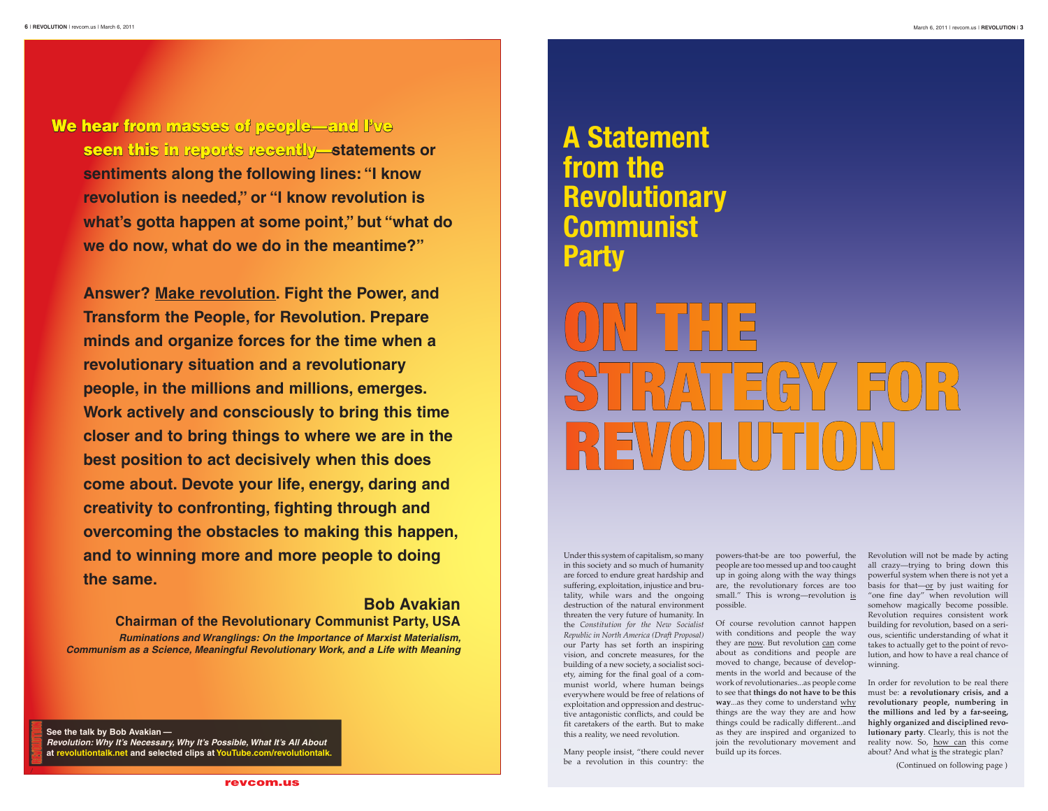Under this system of capitalism, so many in this society and so much of humanity are forced to endure great hardship and tality, while wars and the ongoing destruction of the natural environment threaten the very future of humanity. In the *Constitution for the New Socialist Republic in North America (Draft Proposal)* our Party has set forth an inspiring vision, and concrete measures, for the building of a new society, a socialist society, aiming for the final goal of a communist world, where human beings everywhere would be free of relations of exploitation and oppression and destructive antagonistic conflicts, and could be fit caretakers of the earth. But to make this a reality, we need revolution.

Many people insist, "there could never build up its forces. be a revolution in this country: the

suffering, exploitation, injustice and bru- are, the revolutionary forces are too basis for that—or by just waiting for powers-that-be are too powerful, the Revolution will not be made by acting people are too messed up and too caught all crazy—trying to bring down this small." This is wrong—revolution is "one fine day" when revolution will powerful system when there is not yet a somehow magically become possible. Revolution requires consistent work building for revolution, based on a serious, scientific understanding of what it takes to actually get to the point of revolution, and how to have a real chance of winning.

up in going along with the way things possible.

# ON THE STRATEGY FOR Revolution

Of course revolution cannot happen with conditions and people the way they are now. But revolution can come about as conditions and people are moved to change, because of developments in the world and because of the work of revolutionaries...as people come to see that **things do not have to be this way**...as they come to understand why things are the way they are and how things could be radically different...and as they are inspired and organized to join the revolutionary movement and

We hear from masses of people—and I've seen this in reports recently—**statements or sentiments along the following lines: "I know revolution is needed," or "I know revolution is what's gotta happen at some point," but "what do we do now, what do we do in the meantime?"**

> In order for revolution to be real there must be: **a revolutionary crisis, and a revolutionary people, numbering in the millions and led by a far-seeing, highly organized and disciplined revolutionary party**. Clearly, this is not the reality now. So, how can this come about? And what is the strategic plan?

### **A Statement from the Revolutionary Communist Party**

\ (Continued on following page )

**See the talk by Bob Avakian — Revolution: Why It's Necessary, Why It's Possible, What It's All About at revolutiontalk.net and selected clips at YouTube.com/revolutiontalk.**



**Answer? Make revolution. Fight the Power, and Transform the People, for Revolution. Prepare minds and organize forces for the time when a revolutionary situation and a revolutionary people, in the millions and millions, emerges. Work actively and consciously to bring this time closer and to bring things to where we are in the best position to act decisively when this does come about. Devote your life, energy, daring and creativity to confronting, fighting through and overcoming the obstacles to making this happen, and to winning more and more people to doing the same.**

**Bob Avakian** 

**Chairman of the Revolutionary Communist Party, USA** *Ruminations and Wranglings: On the Importance of Marxist Materialism, Communism as a Science, Meaningful Revolutionary Work, and a Life with Meaning*